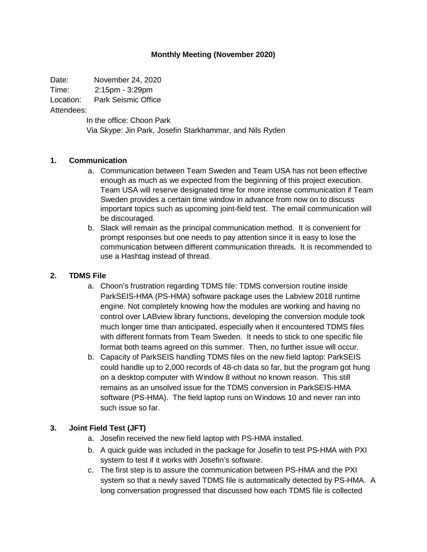#### **Monthly Meeting (November 2020)**

Date: November 24, 2020

Time: 2:15pm - 3:29pm

Location: Park Seismic Office

Attendees:

In the office: Choon Park Via Skype: Jin Park, Josefin Starkhammar, and Nils Ryden

### **1. Communication**

- a. Communication between Team Sweden and Team USA has not been effective enough as much as we expected from the beginning of this project execution. Team USA will reserve designated time for more intense communication if Team Sweden provides a certain time window in advance from now on to discuss important topics such as upcoming joint-field test. The email communication will be discouraged.
- b. Slack will remain as the principal communication method. It is convenient for prompt responses but one needs to pay attention since it is easy to lose the communication between different communication threads. It is recommended to use a Hashtag instead of thread.

#### **2. TDMS File**

- a. Choon's frustration regarding TDMS file: TDMS conversion routine inside ParkSEIS-HMA (PS-HMA) software package uses the Labview 2018 runtime engine. Not completely knowing how the modules are working and having no control over LABview library functions, developing the conversion module took much longer time than anticipated, especially when it encountered TDMS files with different formats from Team Sweden. It needs to stick to one specific file format both teams agreed on this summer. Then, no further issue will occur.
- b. Capacity of ParkSEIS handling TDMS files on the new field laptop: ParkSEIS could handle up to 2,000 records of 48-ch data so far, but the program got hung on a desktop computer with Window 8 without no known reason. This still remains as an unsolved issue for the TDMS conversion in ParkSEIS-HMA software (PS-HMA). The field laptop runs on Windows 10 and never ran into such issue so far.

### **3. Joint Field Test (JFT)**

- a. Josefin received the new field laptop with PS-HMA installed.
- b. A quick guide was included in the package for Josefin to test PS-HMA with PXI system to test if it works with Josefin's software.
- c. The first step is to assure the communication between PS-HMA and the PXI system so that a newly saved TDMS file is automatically detected by PS-HMA. A long conversation progressed that discussed how each TDMS file is collected